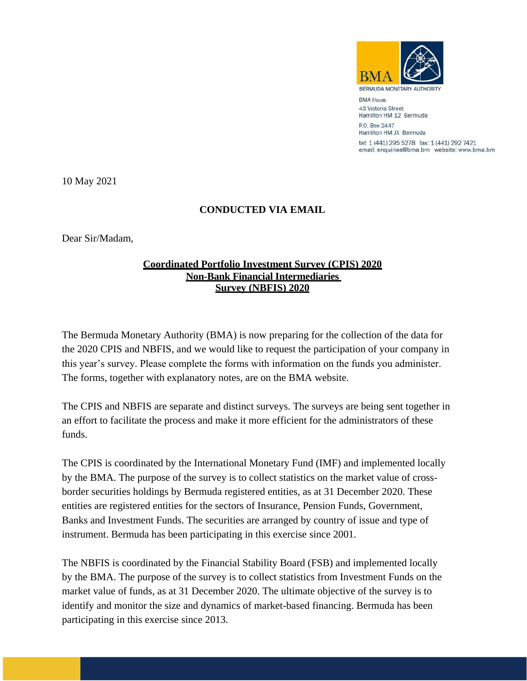

**BERMUDA MONETARY** 

**BMA House** 43 Victoria Street Hamilton HM 12 Bermuda P.O. Box 2447 Hamilton HM JX Bermuda tel: 1 (441) 295 5278 fax: 1 (441) 292 7421 email: enquiries@bma.bm website: www.bma.bm

10 May 2021

## **CONDUCTED VIA EMAIL**

Dear Sir/Madam,

## **Coordinated Portfolio Investment Survey (CPIS) 2020 Non-Bank Financial Intermediaries Survey (NBFIS) 2020**

The Bermuda Monetary Authority (BMA) is now preparing for the collection of the data for the 2020 CPIS and NBFIS, and we would like to request the participation of your company in this year's survey. Please complete the forms with information on the funds you administer. The forms, together with explanatory notes, are on the BMA website.

The CPIS and NBFIS are separate and distinct surveys. The surveys are being sent together in an effort to facilitate the process and make it more efficient for the administrators of these funds.

The CPIS is coordinated by the International Monetary Fund (IMF) and implemented locally by the BMA. The purpose of the survey is to collect statistics on the market value of crossborder securities holdings by Bermuda registered entities, as at 31 December 2020. These entities are registered entities for the sectors of Insurance, Pension Funds, Government, Banks and Investment Funds. The securities are arranged by country of issue and type of instrument. Bermuda has been participating in this exercise since 2001.

The NBFIS is coordinated by the Financial Stability Board (FSB) and implemented locally by the BMA. The purpose of the survey is to collect statistics from Investment Funds on the market value of funds, as at 31 December 2020. The ultimate objective of the survey is to identify and monitor the size and dynamics of market-based financing. Bermuda has been participating in this exercise since 2013.